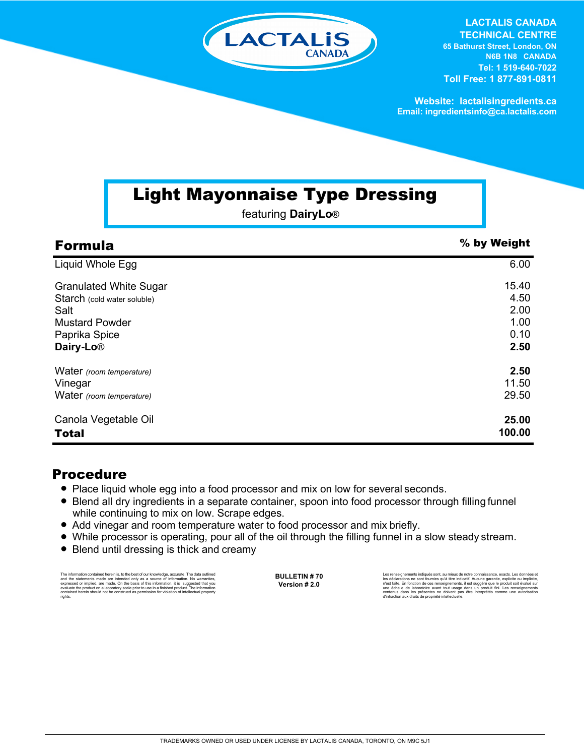

**LACTALIS CANADA TECHNICAL CENTRE**

**65 Bathurst Street, London, ON N6B 1N8 CANADA Tel: 1 519-640-7022 Toll Free: 1 877-891-0811**

**Website: lactalisingredients.ca Email: ingredientsinfo@ca.lactalis.com**

## Light Mayonnaise Type Dressing

featuring **DairyLo**®

| <b>Formula</b>                | % by Weight |
|-------------------------------|-------------|
| Liquid Whole Egg              | 6.00        |
| <b>Granulated White Sugar</b> | 15.40       |
| Starch (cold water soluble)   | 4.50        |
| Salt                          | 2.00        |
| <b>Mustard Powder</b>         | 1.00        |
| Paprika Spice                 | 0.10        |
| Dairy-Lo <sup>®</sup>         | 2.50        |
| Water (room temperature)      | 2.50        |
| Vinegar                       | 11.50       |
| Water (room temperature)      | 29.50       |
| Canola Vegetable Oil          | 25.00       |
| <b>Total</b>                  | 100.00      |

## Procedure

- Place liquid whole egg into a food processor and mix on low for several seconds.
- Blend all dry ingredients in a separate container, spoon into food processor through filling funnel while continuing to mix on low. Scrape edges.
- Add vinegar and room temperature water to food processor and mix briefly.
- While processor is operating, pour all of the oil through the filling funnel in a slow steady stream.
- Blend until dressing is thick and creamy

The information contained herein is, to the best of our knowledge, accurate. The data cuttined<br>and the statements made are intended only as a source of information. No warranties,<br>expressed or implied, are made. On the bas rights.

**BULLETIN # 70 Version # 2.0**

Les rensejonements indiqués sont, au mieux de notre connaissance, exacts. Les données et<br>les déclarations ne sont fournies qu'à titre indicatif. Aucune garantie, explicite ou implicite,<br>n'est faite. En fonction de ces rens